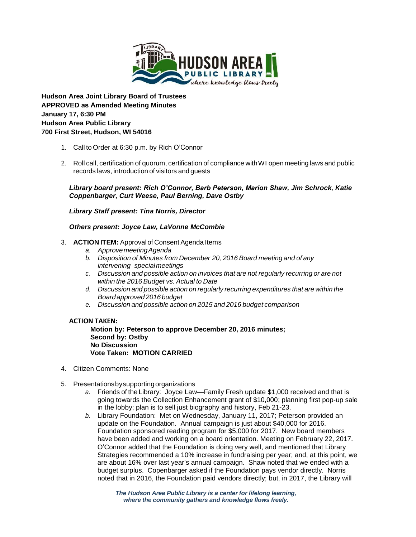

**Hudson Area Joint Library Board of Trustees APPROVED as Amended Meeting Minutes January 17, 6:30 PM Hudson Area Public Library 700 First Street, Hudson, WI 54016** 

- 1. Call to Order at 6:30 p.m. by Rich O'Connor
- 2. Roll call, certification of quorum, certification of compliance withWI open meeting laws and public records laws, introduction of visitors and guests

*Library board present: Rich O'Connor, Barb Peterson, Marion Shaw, Jim Schrock, Katie Coppenbarger, Curt Weese, Paul Berning, Dave Ostby*

*Library Staff present: Tina Norris, Director*

### *Others present: Joyce Law, LaVonne McCombie*

### 3. **ACTION ITEM:** Approval of Consent Agenda Items

- *a. ApprovemeetingAgenda*
- *b. Disposition of Minutes from December 20, 2016 Board meeting and of any intervening special meetings*
- *c. Discussion and possible action on invoices that are not regularly recurring or are not within the 2016 Budget vs. Actual to Date*
- *d. Discussion and possible action on regularly recurring expenditures that are within the Board approved 2016 budget*
- *e. Discussion and possible action on 2015 and 2016 budget comparison*

### **ACTION TAKEN:**

**Motion by: Peterson to approve December 20, 2016 minutes; Second by: Ostby No Discussion Vote Taken: MOTION CARRIED**

- 4. Citizen Comments: None
- 5. Presentationsbysupportingorganizations
	- *a.* Friends of the Library: Joyce Law—Family Fresh update \$1,000 received and that is going towards the Collection Enhancement grant of \$10,000; planning first pop-up sale in the lobby; plan is to sell just biography and history, Feb 21-23.
	- *b.* Library Foundation: Met on Wednesday, January 11, 2017; Peterson provided an update on the Foundation. Annual campaign is just about \$40,000 for 2016. Foundation sponsored reading program for \$5,000 for 2017. New board members have been added and working on a board orientation. Meeting on February 22, 2017. O'Connor added that the Foundation is doing very well, and mentioned that Library Strategies recommended a 10% increase in fundraising per year; and, at this point, we are about 16% over last year's annual campaign. Shaw noted that we ended with a budget surplus. Copenbarger asked if the Foundation pays vendor directly. Norris noted that in 2016, the Foundation paid vendors directly; but, in 2017, the Library will

*The Hudson Area Public Library is a center for lifelong learning, where the community gathers and knowledge flows freely.*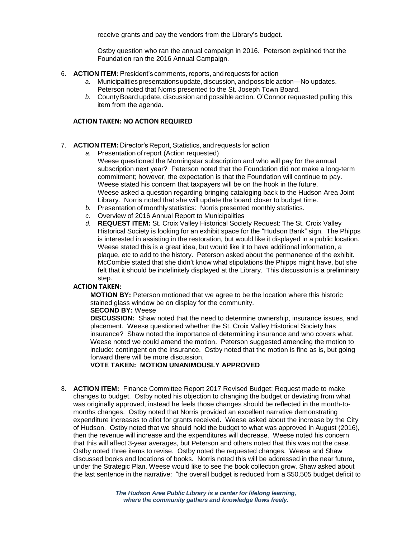receive grants and pay the vendors from the Library's budget.

Ostby question who ran the annual campaign in 2016. Peterson explained that the Foundation ran the 2016 Annual Campaign.

- 6. **ACTION ITEM:** President's comments, reports, andrequests for action
	- *a.* Municipalitiespresentationsupdate, discussion, and possible action—No updates. Peterson noted that Norris presented to the St. Joseph Town Board.
	- *b.* CountyBoard update, discussion and possible action. O'Connor requested pulling this item from the agenda.

# **ACTION TAKEN: NO ACTION REQUIRED**

- 7. **ACTION ITEM:** Director's Report, Statistics, and requests for action
	- *a.* Presentation of report (Action requested) Weese questioned the Morningstar subscription and who will pay for the annual subscription next year? Peterson noted that the Foundation did not make a long-term commitment; however, the expectation is that the Foundation will continue to pay. Weese stated his concern that taxpayers will be on the hook in the future. Weese asked a question regarding bringing cataloging back to the Hudson Area Joint Library. Norris noted that she will update the board closer to budget time.
	- *b.* Presentation of monthly statistics: Norris presented monthly statistics.
	- *c.* Overview of 2016 Annual Report to Municipalities
	- *d.* **REQUEST ITEM:** St. Croix Valley Historical Society Request: The St. Croix Valley Historical Society is looking for an exhibit space for the "Hudson Bank" sign. The Phipps is interested in assisting in the restoration, but would like it displayed in a public location. Weese stated this is a great idea, but would like it to have additional information, a plaque, etc to add to the history. Peterson asked about the permanence of the exhibit. McCombie stated that she didn't know what stipulations the Phipps might have, but she felt that it should be indefinitely displayed at the Library. This discussion is a preliminary step.

### **ACTION TAKEN:**

**MOTION BY:** Peterson motioned that we agree to be the location where this historic stained glass window be on display for the community.

## **SECOND BY:** Weese

**DISCUSSION:** Shaw noted that the need to determine ownership, insurance issues, and placement. Weese questioned whether the St. Croix Valley Historical Society has insurance? Shaw noted the importance of determining insurance and who covers what. Weese noted we could amend the motion. Peterson suggested amending the motion to include: contingent on the insurance. Ostby noted that the motion is fine as is, but going forward there will be more discussion.

### **VOTE TAKEN: MOTION UNANIMOUSLY APPROVED**

8. **ACTION ITEM:** Finance Committee Report 2017 Revised Budget: Request made to make changes to budget. Ostby noted his objection to changing the budget or deviating from what was originally approved, instead he feels those changes should be reflected in the month-tomonths changes. Ostby noted that Norris provided an excellent narrative demonstrating expenditure increases to allot for grants received. Weese asked about the increase by the City of Hudson.Ostby noted that we should hold the budget to what was approved in August (2016), then the revenue will increase and the expenditures will decrease. Weese noted his concern that this will affect 3-year averages, but Peterson and others noted that this was not the case. Ostby noted three items to revise. Ostby noted the requested changes. Weese and Shaw discussed books and locations of books. Norris noted this will be addressed in the near future, under the Strategic Plan. Weese would like to see the book collection grow. Shaw asked about the last sentence in the narrative: "the overall budget is reduced from a \$50,505 budget deficit to

> *The Hudson Area Public Library is a center for lifelong learning, where the community gathers and knowledge flows freely.*